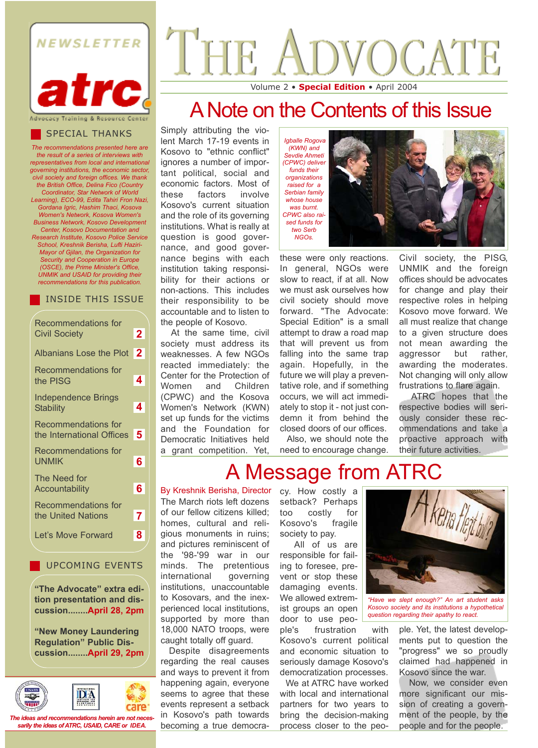



*The recommendations presented here are the result of a series of interviews with representatives from local and international governing institutions, the economic sector, civil society and foreign offices. We thank the British Office, Delina Fico (Country Coordinator, Star Network of World Learning), ECO-99, Edita Tahiri Fron Nazi, Gordana Igric, Hashim Thaci, Kosova Women's Network, Kosova Women's Business Network, Kosovo Development Center, Kosovo Documentation and Research Institute, Kosovo Police Service School, Kreshnik Berisha, Lufti Haziri-Mayor of Gjilan, the Organization for Security and Cooperation in Europe (OSCE), the Prime Minister's Office, UNMIK and USAID for providing their recommendations for this publication.* 

### INSIDE THIS ISSUE

| Recommendations for                                     |             |
|---------------------------------------------------------|-------------|
| <b>Civil Society</b>                                    | 2           |
| <b>Albanians Lose the Plot</b>                          | $\mathbf 2$ |
| <b>Recommendations for</b><br>the PISG                  | 4           |
| <b>Independence Brings</b><br><b>Stability</b>          | 4           |
| <b>Recommendations for</b><br>the International Offices | 5           |
| Recommendations for<br>UNMIK                            | 6           |
| The Need for<br><b>Accountability</b>                   | 6           |
| Recommendations for<br>the United Nations               | 7           |
| Let's Move Forward                                      | 8           |
|                                                         |             |

UPCOMING EVENTS

**"The Advocate" extra edition presentation and discussion........April 28, 2pm**

**"New Money Laundering Regulation" Public Discussion........April 29, 2pm**



*The ideas and recommendations herein are not necessarily the ideas of ATRC, USAID, CARE or IDEA.*

# **JOCATE** Volume 2 • **Special Edition** • April 2004

## A Note on the Contents of this Issue

Simply attributing the violent March 17-19 events in Kosovo to "ethnic conflict" ignores a number of important political, social and economic factors. Most of these factors involve Kosovo's current situation and the role of its governing institutions. What is really at question is good governance, and good governance begins with each institution taking responsibility for their actions or non-actions. This includes their responsibility to be accountable and to listen to the people of Kosovo.

At the same time, civil society must address its weaknesses. A few NGOs reacted immediately: the Center for the Protection of Women and Children (CPWC) and the Kosova Women's Network (KWN) set up funds for the victims and the Foundation for Democratic Initiatives held a grant competition. Yet,

*Igballe Rogova (KWN) and Sevdie Ahmeti (CPWC) deliver funds their organizations raised for a Serbian family whose house was burnt. CPWC also raised funds for two Serb NGOs.*



these were only reactions. In general, NGOs were slow to react, if at all. Now we must ask ourselves how civil society should move forward. "The Advocate: Special Edition" is a small attempt to draw a road map that will prevent us from falling into the same trap again. Hopefully, in the future we will play a preventative role, and if something occurs, we will act immediately to stop it - not just condemn it from behind the closed doors of our offices.

Also, we should note the need to encourage change.

Civil society, the PISG, UNMIK and the foreign offices should be advocates for change and play their respective roles in helping Kosovo move forward. We all must realize that change to a given structure does not mean awarding the aggressor but rather, awarding the moderates. Not changing will only allow frustrations to flare again.

ATRC hopes that the respective bodies will seriously consider these recommendations and take a proactive approach with their future activities.

## A Message from ATRC

The March riots left dozens of our fellow citizens killed; homes, cultural and religious monuments in ruins; and pictures reminiscent of the '98-'99 war in our minds. The pretentious international governing institutions, unaccountable to Kosovars, and the inexperienced local institutions, supported by more than 18,000 NATO troops, were caught totally off guard. By Kreshnik Berisha, Director

Despite disagreements regarding the real causes and ways to prevent it from happening again, everyone seems to agree that these events represent a setback in Kosovo's path towards becoming a true democracy. How costly a setback? Perhaps too costly for Kosovo's fragile society to pay.

All of us are responsible for failing to foresee, prevent or stop these damaging events. We allowed extremist groups an open door to use peo-

ple's frustration with Kosovo's current political and economic situation to seriously damage Kosovo's democratization processes.

We at ATRC have worked with local and international partners for two years to bring the decision-making process closer to the peo-



*"Have we slept enough?" An art student asks Kosovo society and its institutions a hypothetical question regarding their apathy to react.* 

ple. Yet, the latest developments put to question the "progress" we so proudly claimed had happened in Kosovo since the war.

Now, we consider even more significant our mission of creating a government of the people, by the people and for the people.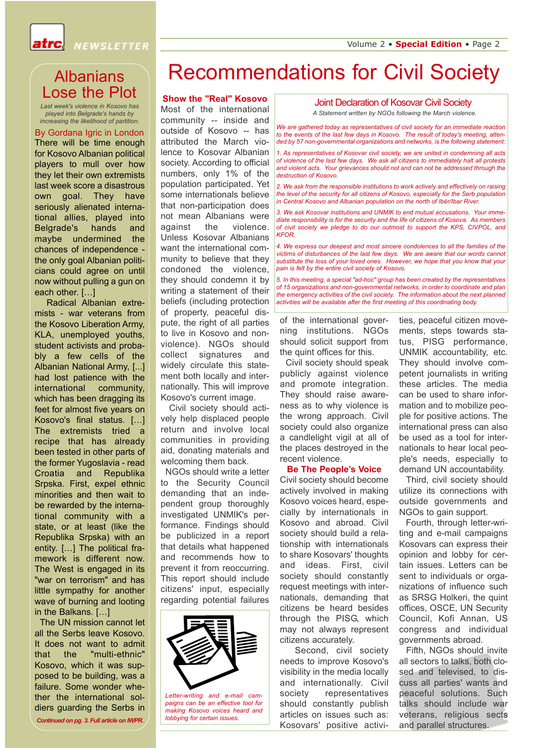

## Albanians Lose the Plot

*Last week's violence in Kosovo has played into Belgrade's hands by increasing the likelihood of partition.* 

There will be time enough for Kosovo Albanian political players to mull over how they let their own extremists last week score a disastrous own goal. They have seriously alienated international allies, played into Belgrade's hands and maybe undermined the chances of independence the only goal Albanian politicians could agree on until now without pulling a gun on each other. […] By Gordana Igric in London

Radical Albanian extremists - war veterans from the Kosovo Liberation Army, KLA, unemployed youths, student activists and probably a few cells of the Albanian National Army, [...] had lost patience with the international community, which has been dragging its feet for almost five years on Kosovo's final status. […] The extremists tried a recipe that has already been tested in other parts of the former Yugoslavia - read Croatia and Republika Srpska. First, expel ethnic minorities and then wait to be rewarded by the international community with a state, or at least (like the Republika Srpska) with an entity. […] The political framework is different now. The West is engaged in its "war on terrorism" and has little sympathy for another wave of burning and looting in the Balkans. […]

The UN mission cannot let all the Serbs leave Kosovo. It does not want to admit that the "multi-ethnic" Kosovo, which it was supposed to be building, was a failure. Some wonder whether the international soldiers guarding the Serbs in

*Continued on pg. 3. Full article on IWPR.*

## Recommendations for Civil Society

## **Show the "Real" Kosovo**

Most of the international community -- inside and outside of Kosovo -- has attributed the March violence to Kosovar Albanian society. According to official numbers, only 1% of the population participated. Yet some internationals believe that non-participation does not mean Albanians were against the violence. Unless Kosovar Albanians want the international community to believe that they condoned the violence, they should condemn it by writing a statement of their beliefs (including protection of property, peaceful dispute, the right of all parties to live in Kosovo and nonviolence). NGOs should collect signatures and widely circulate this statement both locally and internationally. This will improve Kosovo's current image.

Civil society should actively help displaced people return and involve local communities in providing aid, donating materials and welcoming them back.

NGOs should write a letter to the Security Council demanding that an independent group thoroughly investigated UNMIK's performance. Findings should be publicized in a report that details what happened and recommends how to prevent it from reoccurring. This report should include citizens' input, especially regarding potential failures



*Letter-writing and e-mail campaigns can be an effective tool for making Kosovo voices heard and lobbying for certain issues.*

### Joint Declaration of Kosovar Civil Society

*A Statement written by NGOs following the March violence.*

*We are gathered today as representatives of civil society for an immediate reaction to the events of the last few days in Kosovo. The result of today's meeting, attended by 57 non-governmental organizations and networks, is the following statement:*

*1. As representatives of Kosovar civil society, we are united in condemning all acts of violence of the last few days. We ask all citizens to immediately halt all protests and violent acts. Your grievances should not and can not be addressed through the destruction of Kosovo.*

*2. We ask from the responsible institutions to work actively and effectively on raising the level of the security for all citizens of Kosovo, especially for the Serb population in Central Kosovo and Albanian population on the north of Ibër/Ibar River.*

*3. We ask Kosovar institutions and UNMIK to end mutual accusations. Your immediate responsibility is for the security and the life of citizens of Kosova. As members of civil society we pledge to do our outmost to support the KPS, CIVPOL, and KFOR.*

*4. We express our deepest and most sincere condolences to all the families of the victims of disturbances of the last few days. We are aware that our words cannot substitute the loss of your loved ones. However, we hope that you know that your pain is felt by the entire civil society of Kosovo.*

*5. In this meeting, a special "ad-hoc" group has been created by the representatives of 15 organizations and non-governmental networks, in order to coordinate and plan the emergency activities of the civil society. The information about the next planned activities will be available after the first meeting of this coordinating body.*

of the international governing institutions. NGOs should solicit support from the quint offices for this.

Civil society should speak publicly against violence and promote integration. They should raise awareness as to why violence is the wrong approach. Civil society could also organize a candlelight vigil at all of the places destroyed in the recent violence.

#### **Be The People's Voice**

Civil society should become actively involved in making Kosovo voices heard, especially by internationals in Kosovo and abroad. Civil society should build a relationship with internationals to share Kosovars' thoughts and ideas. First, civil society should constantly request meetings with internationals, demanding that citizens be heard besides through the PISG, which may not always represent citizens accurately.

Second, civil society needs to improve Kosovo's visibility in the media locally and internationally. Civil society representatives should constantly publish articles on issues such as: Kosovars' positive activities, peaceful citizen movements, steps towards status, PISG performance, UNMIK accountability, etc. They should involve competent journalists in writing these articles. The media can be used to share information and to mobilize people for positive actions. The international press can also be used as a tool for internationals to hear local people's needs, especially to demand UN accountability.

Third, civil society should utilize its connections with outside governments and NGOs to gain support.

Fourth, through letter-writing and e-mail campaigns Kosovars can express their opinion and lobby for certain issues. Letters can be sent to individuals or organizations of influence such as SRSG Holkeri, the quint offices, OSCE, UN Security Council, Kofi Annan, US congress and individual governments abroad.

Fifth, NGOs should\_invite all sectors to talks, both closed and televised, to discuss all parties' wants and peaceful solutions. Such talks should include war veterans, religious sects and parallel structures.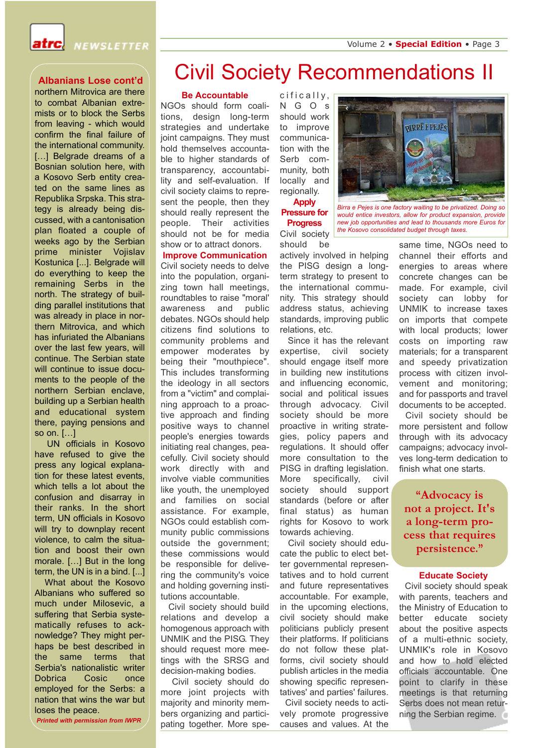

### **Albanians Lose cont'd**

northern Mitrovica are there to combat Albanian extremists or to block the Serbs from leaving - which would confirm the final failure of the international community. [...] Belgrade dreams of a Bosnian solution here, with a Kosovo Serb entity created on the same lines as Republika Srpska. This strategy is already being discussed, with a cantonisation plan floated a couple of weeks ago by the Serbian prime minister Vojislav Kostunica [...]. Belgrade will do everything to keep the remaining Serbs in the north. The strategy of building parallel institutions that was already in place in northern Mitrovica, and which has infuriated the Albanians over the last few years, will continue. The Serbian state will continue to issue documents to the people of the northern Serbian enclave, building up a Serbian health and educational system there, paying pensions and so on. […]

UN officials in Kosovo have refused to give the press any logical explanation for these latest events, which tells a lot about the confusion and disarray in their ranks. In the short term, UN officials in Kosovo will try to downplay recent violence, to calm the situation and boost their own morale. […] But in the long term, the UN is in a bind. [...]

What about the Kosovo Albanians who suffered so much under Milosevic, a suffering that Serbia systematically refuses to acknowledge? They might perhaps be best described in the same terms that Serbia's nationalistic writer Dobrica Cosic once employed for the Serbs: a nation that wins the war but loses the peace.

#### *Printed with permission from IWPR*

## Civil Society Recommendations II

#### **Be Accountable**

NGOs should form coalitions, design long-term strategies and undertake joint campaigns. They must hold themselves accountable to higher standards of transparency, accountability and self-evaluation. If civil society claims to represent the people, then they should really represent the people. Their activities should not be for media show or to attract donors. **Improve Communication** Civil society needs to delve into the population, organizing town hall meetings, roundtables to raise "moral' awareness and public debates. NGOs should help citizens find solutions to community problems and empower moderates by being their "mouthpiece". This includes transforming the ideology in all sectors from a "victim" and complaining approach to a proactive approach and finding positive ways to channel people's energies towards initiating real changes, peacefully. Civil society should work directly with and involve viable communities like youth, the unemployed and families on social assistance. For example, NGOs could establish community public commissions outside the government; these commissions would be responsible for delivering the community's voice and holding governing institutions accountable.

Civil society should build relations and develop a homogenous approach with UNMIK and the PISG. They should request more meetings with the SRSG and decision-making bodies.

Civil society should do more joint projects with majority and minority members organizing and participating together. More specifically, NGOs should work to improve communication with the Serb community, both locally and regionally. **Apply**



**Pressure for Progress** Civil society *Birra e Pejes is one factory waiting to be privatized. Doing so would entice investors, allow for product expansion, provide new job opportunities and lead to thousands more Euros for the Kosovo consolidated budget through taxes.*

should be actively involved in helping the PISG design a longterm strategy to present to the international community. This strategy should address status, achieving standards, improving public relations, etc.

Since it has the relevant expertise, civil society should engage itself more in building new institutions and influencing economic, social and political issues through advocacy. Civil society should be more proactive in writing strategies, policy papers and regulations. It should offer more consultation to the PISG in drafting legislation. More specifically, civil society should support standards (before or after final status) as human rights for Kosovo to work towards achieving.

Civil society should educate the public to elect better governmental representatives and to hold current and future representatives accountable. For example, in the upcoming elections, civil society should make politicians publicly present their platforms. If politicians do not follow these platforms, civil society should publish articles in the media showing specific representatives' and parties' failures.

Civil society needs to actively promote progressive causes and values. At the same time, NGOs need to channel their efforts and energies to areas where concrete changes can be made. For example, civil society can lobby for UNMIK to increase taxes on imports that compete with local products; lower costs on importing raw materials; for a transparent and speedy privatization process with citizen involvement and monitoring; and for passports and travel documents to be accepted.

Civil society should be more persistent and follow through with its advocacy campaigns; advocacy involves long-term dedication to finish what one starts.

**"Advocacy is not a project. It's a long-term process that requires persistence."**

#### **Educate Society**

Civil society should speak with parents, teachers and the Ministry of Education to better educate society about the positive aspects of a multi-ethnic society, UNMIK's role in Kosovo and how to hold elected officials accountable. One point to clarify in these meetings is that returning Serbs does not mean returning the Serbian regime.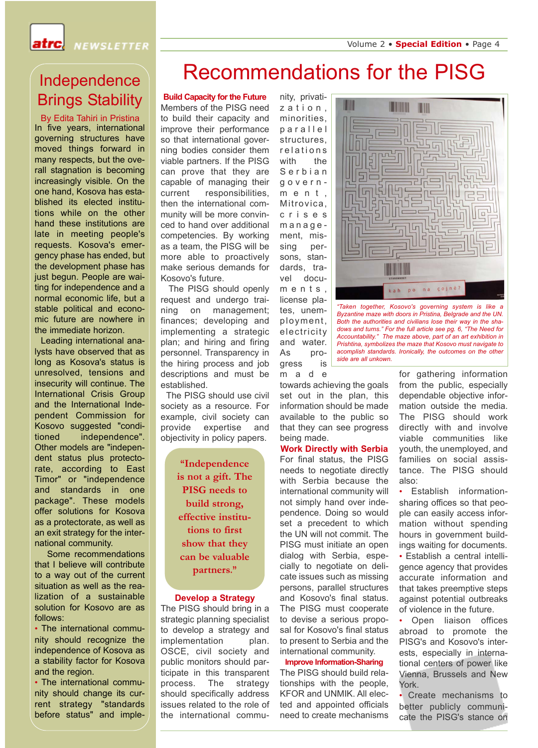atrc.

**NEWSLETTER** 

## Independence Brings Stability

In five years, international governing structures have moved things forward in many respects, but the overall stagnation is becoming increasingly visible. On the one hand, Kosova has established its elected institutions while on the other hand these institutions are late in meeting people's requests. Kosova's emergency phase has ended, but the development phase has just begun. People are waiting for independence and a normal economic life, but a stable political and economic future are nowhere in the immediate horizon. By Edita Tahiri in Pristina

Leading international analysts have observed that as long as Kosova's status is unresolved, tensions and insecurity will continue. The International Crisis Group and the International Independent Commission for Kosovo suggested "conditioned independence". Other models are "independent status plus protectorate, according to East Timor" or "independence and standards in one package". These models offer solutions for Kosova as a protectorate, as well as an exit strategy for the international community.

Some recommendations that I believe will contribute to a way out of the current situation as well as the realization of a sustainable solution for Kosovo are as follows:

• The international community should recognize the independence of Kosova as a stability factor for Kosova and the region.

• The international community should change its current strategy "standards before status" and imple-

## Recommendations for the PISG

### **Build Capacity for the Future**

Members of the PISG need to build their capacity and improve their performance so that international governing bodies consider them viable partners. If the PISG can prove that they are capable of managing their current responsibilities, then the international community will be more convinced to hand over additional competencies. By working as a team, the PISG will be more able to proactively make serious demands for Kosovo's future.

The PISG should openly request and undergo training on management; finances; developing and implementing a strategic plan; and hiring and firing personnel. Transparency in the hiring process and job descriptions and must be established.

The PISG should use civil society as a resource. For example, civil society can provide expertise and objectivity in policy papers.

> **"Independence is not a gift. The PISG needs to build strong, effective institutions to first show that they can be valuable partners."**

#### **Develop a Strategy**

The PISG should bring in a strategic planning specialist to develop a strategy and implementation plan. OSCE, civil society and public monitors should participate in this transparent process. The strategy should specifically address issues related to the role of the international commu-

nity, privatization, minorities, parallel structures, relations with the Serbian government, Mitrovica, crises management, missing persons, standards, travel documents, license plates, unemployment, electricity and water. As progress is made

towards achieving the goals set out in the plan, this information should be made available to the public so that they can see progress being made.

### **Work Directly with Serbia**

For final status, the PISG needs to negotiate directly with Serbia because the international community will not simply hand over independence. Doing so would set a precedent to which the UN will not commit. The PISG must initiate an open dialog with Serbia, especially to negotiate on delicate issues such as missing persons, parallel structures and Kosovo's final status. The PISG must cooperate to devise a serious proposal for Kosovo's final status to present to Serbia and the international community.

## **Improve Information-Sharing** The PISG should build rela-

tionships with the people, KFOR and UNMIK. All elected and appointed officials need to create mechanisms

H W kah po na çojnë

*"Taken together, Kosovo's governing system is like a Byzantine maze with doors in Pristina, Belgrade and the UN. Both the authorities and civilians lose their way in the shadows and turns." For the full article see pg. 6, "The Need for Accountability." The maze above, part of an art exhibition in Prishtina, symbolizes the maze that Kosovo must navigate to acomplish standards. Ironically, the outcomes on the other side are all unkown.*

for gathering information from the public, especially dependable objective information outside the media. The PISG should work directly with and involve viable communities like youth, the unemployed, and families on social assistance. The PISG should also:

• Establish informationsharing offices so that people can easily access information without spending hours in government buildings waiting for documents. • Establish a central intelligence agency that provides accurate information and that takes preemptive steps against potential outbreaks of violence in the future.

Open liaison offices abroad to promote the PISG's and Kosovo's interests, especially in international centers of power like Vienna, Brussels and New York.

Create mechanisms to better publicly communicate the PISG's stance on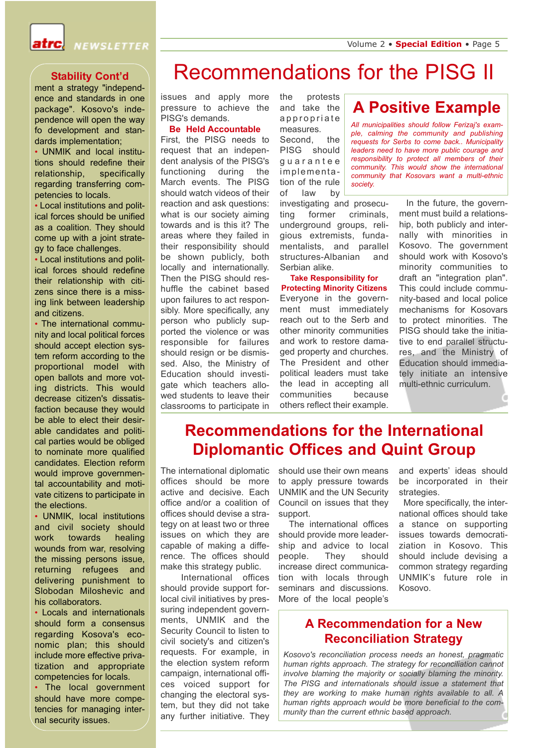

### **Stability Cont'd**

ment a strategy "independence and standards in one package". Kosovo's independence will open the way fo development and standards implementation;

• UNMIK and local institutions should redefine their relationship, specifically regarding transferring competencies to locals.

• Local institutions and political forces should be unified as a coalition. They should come up with a joint strategy to face challenges.

• Local institutions and political forces should redefine their relationship with citizens since there is a missing link between leadership and citizens.

• The international community and local political forces should accept election system reform according to the proportional model with open ballots and more voting districts. This would decrease citizen's dissatisfaction because they would be able to elect their desirable candidates and political parties would be obliged to nominate more qualified candidates. Election reform would improve governmental accountability and motivate citizens to participate in the elections.

• UNMIK, local institutions and civil society should work towards healing wounds from war, resolving the missing persons issue, returning refugees and delivering punishment to Slobodan Miloshevic and his collaborators.

• Locals and internationals should form a consensus regarding Kosova's economic plan; this should include more effective privatization and appropriate competencies for locals. • The local government

should have more competencies for managing internal security issues.

## Recommendations for the PISG II

issues and apply more pressure to achieve the PISG's demands.

### **Be Held Accountable**

First, the PISG needs to request that an independent analysis of the PISG's functioning during the March events. The PISG should watch videos of their reaction and ask questions: what is our society aiming towards and is this it? The areas where they failed in their responsibility should be shown publicly, both locally and internationally. Then the PISG should reshuffle the cabinet based upon failures to act responsibly. More specifically, any person who publicly supported the violence or was responsible for failures should resign or be dismissed. Also, the Ministry of Education should investigate which teachers allowed students to leave their classrooms to participate in

the protests and take the appropriate measures. Second, the PISG should guarantee implementation of the rule of law by

investigating and prosecuting former criminals, underground groups, religious extremists, fundamentalists, and parallel structures-Albanian and Serbian alike.

**Take Responsibility for Protecting Minority Citizens** Everyone in the government must immediately reach out to the Serb and other minority communities and work to restore damaged property and churches. The President and other political leaders must take the lead in accepting all communities because others reflect their example.

**A Positive Example**

*All municipalities should follow Ferizaj's example, calming the community and publishing requests for Serbs to come back.. Municipality leaders need to have more public courage and responsibility to protect all members of their community. This would show the international community that Kosovars want a multi-ethnic society.*

> In the future, the government must build a relationship, both publicly and internally with minorities in Kosovo. The government should work with Kosovo's minority communities to draft an "integration plan". This could include community-based and local police mechanisms for Kosovars to protect minorities. The PISG should take the initiative to end parallel structures, and the Ministry of Education should immediately initiate an intensive multi-ethnic curriculum.

## **Recommendations for the International Diplomantic Offices and Quint Group**

The international diplomatic offices should be more active and decisive. Each office and/or a coalition of offices should devise a strategy on at least two or three issues on which they are capable of making a difference. The offices should make this strategy public.

International offices should provide support forlocal civil initiatives by pressuring independent governments, UNMIK and the Security Council to listen to civil society's and citizen's requests. For example, in the election system reform campaign, international offices voiced support for changing the electoral system, but they did not take any further initiative. They

should use their own means to apply pressure towards UNMIK and the UN Security Council on issues that they support.

The international offices should provide more leadership and advice to local people. They should increase direct communication with locals through seminars and discussions. More of the local people's

and experts' ideas should be incorporated in their strategies.

More specifically, the international offices should take a stance on supporting issues towards democratiziation in Kosovo. This should include devising a common strategy regarding UNMIK's future role in Kosovo.

## **A Recommendation for a New Reconciliation Strategy**

*Kosovo's reconciliation process needs an honest, pragmatic human rights approach. The strategy for reconciliation cannot involve blaming the majority or socially blaming the minority. The PISG and internationals should issue a statement that they are working to make human rights available to all. A human rights approach would be more beneficial to the community than the current ethnic based approach.*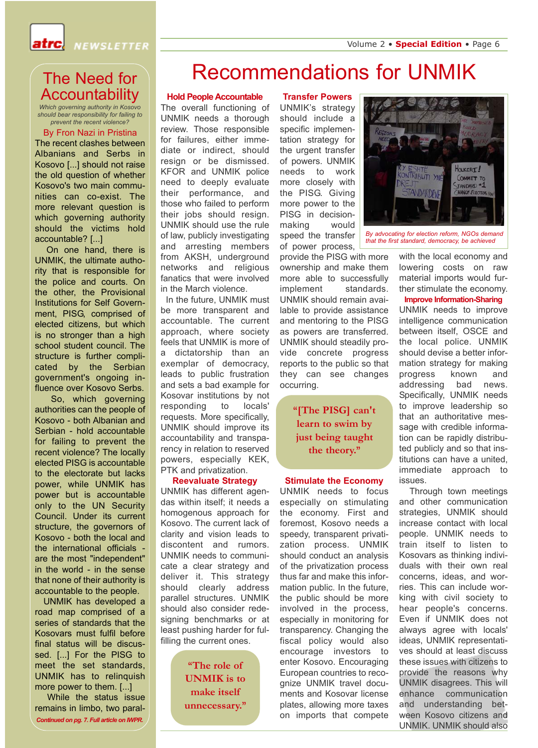

## The Need for Accountability

*Which governing authority in Kosovo should bear responsibility for failing to prevent the recent violence?* 

#### By Fron Nazi in Pristina

The recent clashes between Albanians and Serbs in Kosovo [...] should not raise the old question of whether Kosovo's two main communities can co-exist. The more relevant question is which governing authority should the victims hold accountable? [...]

On one hand, there is UNMIK, the ultimate authority that is responsible for the police and courts. On the other, the Provisional Institutions for Self Government, PISG, comprised of elected citizens, but which is no stronger than a high school student council. The structure is further complicated by the Serbian government's ongoing influence over Kosovo Serbs.

So, which governing authorities can the people of Kosovo - both Albanian and Serbian - hold accountable for failing to prevent the recent violence? The locally elected PISG is accountable to the electorate but lacks power, while UNMIK has power but is accountable only to the UN Security Council. Under its current structure, the governors of Kosovo - both the local and the international officials are the most "independent" in the world - in the sense that none of their authority is accountable to the people.

UNMIK has developed a road map comprised of a series of standards that the Kosovars must fulfil before final status will be discussed. [...] For the PISG to meet the set standards, UNMIK has to relinquish more power to them. [...]

While the status issue remains in limbo, two paral- *Continued on pg. 7. Full article on IWPR.*

## Recommendations for UNMIK

### **Hold People Accountable**

The overall functioning of UNMIK needs a thorough review. Those responsible for failures, either immediate or indirect, should resign or be dismissed. KFOR and UNMIK police need to deeply evaluate their performance, and those who failed to perform their jobs should resign. UNMIK should use the rule of law, publicly investigating and arresting members from AKSH, underground networks and religious fanatics that were involved in the March violence.

In the future, UNMIK must be more transparent and accountable. The current approach, where society feels that UNMIK is more of a dictatorship than an exemplar of democracy, leads to public frustration and sets a bad example for Kosovar institutions by not responding to locals' requests. More specifically, UNMIK should improve its accountability and transparency in relation to reserved powers, especially KEK, PTK and privatization.

### **Reevaluate Strategy**

UNMIK has different agendas within itself; it needs a homogenous approach for Kosovo. The current lack of clarity and vision leads to discontent and rumors. UNMIK needs to communicate a clear strategy and deliver it. This strategy should clearly address parallel structures. UNMIK should also consider redesigning benchmarks or at least pushing harder for fulfilling the current ones.

> **"The role of UNMIK is to make itself unnecessary."**

### **Transfer Powers**

UNMIK's strategy should include a specific implementation strategy for the urgent transfer of powers. UNMIK needs to work more closely with the PISG. Giving more power to the PISG in decisionmaking would speed the transfer of power process,

provide the PISG with more ownership and make them more able to successfully implement standards. UNMIK should remain available to provide assistance and mentoring to the PISG as powers are transferred. UNMIK should steadily provide concrete progress reports to the public so that they can see changes occurring.

## **"[The PISG] can't learn to swim by just being taught the theory."**

#### **Stimulate the Economy**

UNMIK needs to focus especially on stimulating the economy. First and foremost, Kosovo needs a speedy, transparent privatization process. UNMIK should conduct an analysis of the privatization process thus far and make this information public. In the future, the public should be more involved in the process, especially in monitoring for transparency. Changing the fiscal policy would also encourage investors to enter Kosovo. Encouraging European countries to recognize UNMIK travel documents and Kosovar license plates, allowing more taxes on imports that compete



*that the first standard, democracy, be achieved*

with the local economy and lowering costs on raw material imports would further stimulate the economy.

## **Improve Information-Sharing**

UNMIK needs to improve intelligence communication between itself, OSCE and the local police. UNMIK should devise a better information strategy for making progress known and addressing bad news. Specifically, UNMIK needs to improve leadership so that an authoritative message with credible information can be rapidly distributed publicly and so that institutions can have a united, immediate approach to issues.

Through town meetings and other communication strategies, UNMIK should increase contact with local people. UNMIK needs to train itself to listen to Kosovars as thinking individuals with their own real concerns, ideas, and worries. This can include working with civil society to hear people's concerns. Even if UNMIK does not always agree with locals' ideas, UNMIK representatives should at least discuss these issues with citizens to provide the reasons why UNMIK disagrees. This will enhance communication and understanding between Kosovo citizens and UNMIK. UNMIK should also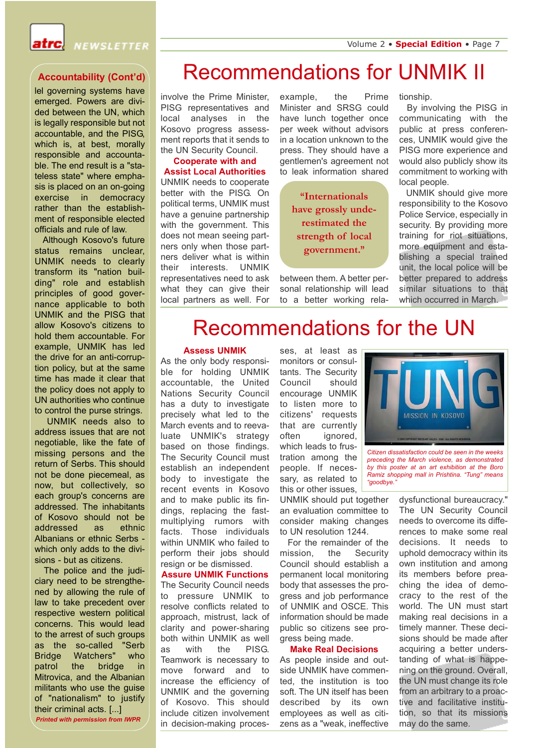

lel governing systems have emerged. Powers are divided between the UN, which is legally responsible but not accountable, and the PISG, which is, at best, morally responsible and accountable. The end result is a "stateless state" where emphasis is placed on an on-going exercise in democracy rather than the establishment of responsible elected officials and rule of law.

Although Kosovo's future status remains unclear, UNMIK needs to clearly transform its "nation building" role and establish principles of good governance applicable to both UNMIK and the PISG that allow Kosovo's citizens to hold them accountable. For example, UNMIK has led the drive for an anti-corruption policy, but at the same time has made it clear that the policy does not apply to UN authorities who continue to control the purse strings.

UNMIK needs also to address issues that are not negotiable, like the fate of missing persons and the return of Serbs. This should not be done piecemeal, as now, but collectively, so each group's concerns are addressed. The inhabitants of Kosovo should not be addressed as ethnic Albanians or ethnic Serbs which only adds to the divisions - but as citizens.

The police and the judiciary need to be strengthened by allowing the rule of law to take precedent over respective western political concerns. This would lead to the arrest of such groups as the so-called "Serb Bridge Watchers" who patrol the bridge in Mitrovica, and the Albanian militants who use the guise of "nationalism" to justify their criminal acts. [...]

*Printed with permission from IWPR*

# Accountability (Cont'd) Recommendations for UNMIK II

involve the Prime Minister, PISG representatives and local analyses in the Kosovo progress assessment reports that it sends to the UN Security Council.

**Cooperate with and Assist Local Authorities** UNMIK needs to cooperate better with the PISG. On political terms, UNMIK must have a genuine partnership with the government. This does not mean seeing partners only when those partners deliver what is within their interests. UNMIK representatives need to ask what they can give their local partners as well. For

example, the Prime Minister and SRSG could have lunch together once per week without advisors in a location unknown to the press. They should have a gentlemen's agreement not to leak information shared

> **"Internationals have grossly underestimated the strength of local government."**

between them. A better personal relationship will lead to a better working relationship.

By involving the PISG in communicating with the public at press conferences, UNMIK would give the PISG more experience and would also publicly show its commitment to working with local people.

UNMIK should give more responsibility to the Kosovo Police Service, especially in security. By providing more training for riot situations, more equipment and establishing a special trained unit, the local police will be better prepared to address similar situations to that which occurred in March.

## Recommendations for the UN

#### **Assess UNMIK**

As the only body responsible for holding UNMIK accountable, the United Nations Security Council has a duty to investigate precisely what led to the March events and to reevaluate UNMIK's strategy based on those findings. The Security Council must establish an independent body to investigate the recent events in Kosovo and to make public its findings, replacing the fastmultiplying rumors with facts. Those individuals within UNMIK who failed to perform their jobs should resign or be dismissed.

**Assure UNMIK Functions**  The Security Council needs to pressure UNMIK to resolve conflicts related to approach, mistrust, lack of clarity and power-sharing both within UNMIK as well as with the PISG. Teamwork is necessary to move forward and to increase the efficiency of UNMIK and the governing of Kosovo. This should include citizen involvement in decision-making processes, at least as monitors or consultants. The Security Council should encourage UNMIK to listen more to citizens' requests that are currently often ignored, which leads to frustration among the people. If necessary, as related to this or other issues,

UNMIK should put together an evaluation committee to consider making changes to UN resolution 1244.

For the remainder of the mission, the Security Council should establish a permanent local monitoring body that assesses the progress and job performance of UNMIK and OSCE. This information should be made public so citizens see progress being made.

### **Make Real Decisions**

As people inside and outside UNMIK have commented, the institution is too soft. The UN itself has been described by its own employees as well as citizens as a "weak, ineffective



*Citizen dissatisfaction could be seen in the weeks preceding the March violence, as demonstrated by this poster at an art exhibition at the Boro Ramiz shopping mall in Prishtina. "Tung" means "goodbye."*

dysfunctional bureaucracy." The UN Security Council needs to overcome its differences to make some real decisions. It needs to uphold democracy within its own institution and among its members before preaching the idea of democracy to the rest of the world. The UN must start making real decisions in a timely manner. These decisions should be made after acquiring a better understanding of what is happening on the ground. Overall, the UN must change its role from an arbitrary to a proactive and facilitative institution, so that its missions may do the same.